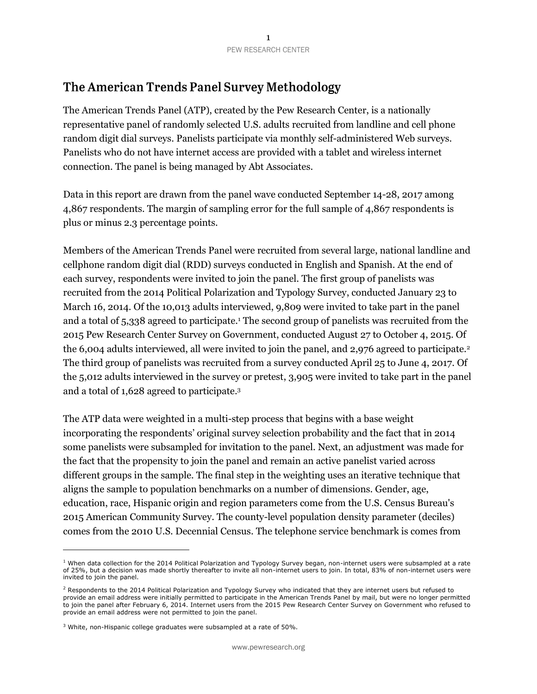## The American Trends Panel Survey Methodology

The American Trends Panel (ATP), created by the Pew Research Center, is a nationally representative panel of randomly selected U.S. adults recruited from landline and cell phone random digit dial surveys. Panelists participate via monthly self-administered Web surveys. Panelists who do not have internet access are provided with a tablet and wireless internet connection. The panel is being managed by Abt Associates.

Data in this report are drawn from the panel wave conducted September 14-28, 2017 among 4,867 respondents. The margin of sampling error for the full sample of 4,867 respondents is plus or minus 2.3 percentage points.

Members of the American Trends Panel were recruited from several large, national landline and cellphone random digit dial (RDD) surveys conducted in English and Spanish. At the end of each survey, respondents were invited to join the panel. The first group of panelists was recruited from the 2014 Political Polarization and Typology Survey, conducted January 23 to March 16, 2014. Of the 10,013 adults interviewed, 9,809 were invited to take part in the panel and a total of 5,338 agreed to participate.<sup>1</sup> The second group of panelists was recruited from the 2015 Pew Research Center Survey on Government, conducted August 27 to October 4, 2015. Of the 6,004 adults interviewed, all were invited to join the panel, and 2,976 agreed to participate.<sup>2</sup> The third group of panelists was recruited from a survey conducted April 25 to June 4, 2017. Of the 5,012 adults interviewed in the survey or pretest, 3,905 were invited to take part in the panel and a total of 1,628 agreed to participate. 3

The ATP data were weighted in a multi-step process that begins with a base weight incorporating the respondents' original survey selection probability and the fact that in 2014 some panelists were subsampled for invitation to the panel. Next, an adjustment was made for the fact that the propensity to join the panel and remain an active panelist varied across different groups in the sample. The final step in the weighting uses an iterative technique that aligns the sample to population benchmarks on a number of dimensions. Gender, age, education, race, Hispanic origin and region parameters come from the U.S. Census Bureau's 2015 American Community Survey. The county-level population density parameter (deciles) comes from the 2010 U.S. Decennial Census. The telephone service benchmark is comes from

 $\overline{a}$ 

 $1$  When data collection for the 2014 Political Polarization and Typology Survey began, non-internet users were subsampled at a rate of 25%, but a decision was made shortly thereafter to invite all non-internet users to join. In total, 83% of non-internet users were invited to join the panel.

 $<sup>2</sup>$  Respondents to the 2014 Political Polarization and Typology Survey who indicated that they are internet users but refused to</sup> provide an email address were initially permitted to participate in the American Trends Panel by mail, but were no longer permitted to join the panel after February 6, 2014. Internet users from the 2015 Pew Research Center Survey on Government who refused to provide an email address were not permitted to join the panel.

<sup>&</sup>lt;sup>3</sup> White, non-Hispanic college graduates were subsampled at a rate of 50%.